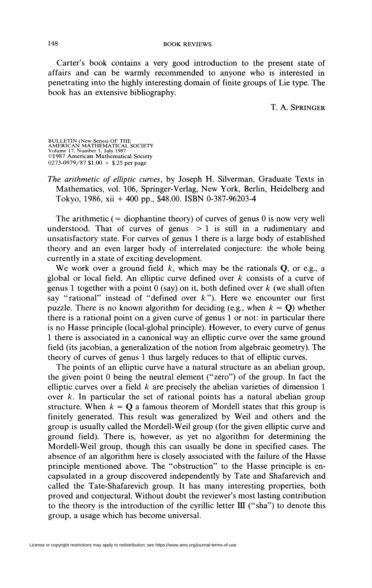Carter's book contains a very good introduction to the present state of affairs and can be warmly recommended to anyone who is interested in penetrating into the highly interesting domain of finite groups of Lie type. The book has an extensive bibliography.

T. A. SPRINGER

BULLETIN (New Series) OF THE AMERICAN MATHEMATICAL SOCIETY Volume 17, Number 1, July 1987 ©1987 American Mathematical Society 0273-0979/87 \$1.00 + \$.25 per page

*The arithmetic of elliptic curves,* by Joseph H. Silverman, Graduate Texts in Mathematics, vol. 106, Springer-Verlag, New York, Berlin, Heidelberg and Tokyo, 1986, xii 4- 400 pp., \$48.00. ISBN 0-387-96203-4

The arithmetic  $($  = diophantine theory) of curves of genus 0 is now very well understood. That of curves of genus  $> 1$  is still in a rudimentary and unsatisfactory state. For curves of genus 1 there is a large body of established theory and an even larger body of interrelated conjecture: the whole being currently in a state of exciting development.

We work over a ground field  $k$ , which may be the rationals  $Q$ , or e.g., a global or local field. An elliptic curve defined over *k* consists of a curve of genus 1 together with a point 0 (say) on it, both defined over *k* (we shall often say "rational" instead of "defined over  $k$ "). Here we encounter our first puzzle. There is no known algorithm for deciding (e.g., when  $k = 0$ ) whether there is a rational point on a given curve of genus 1 or not: in particular there is no Hasse principle (local-global principle). However, to every curve of genus 1 there is associated in a canonical way an elliptic curve over the same ground field (its jacobian, a generalization of the notion from algebraic geometry). The theory of curves of genus 1 thus largely reduces to that of elliptic curves.

The points of an elliptic curve have a natural structure as an abelian group, the given point 0 being the neutral element ("zero") of the group. In fact the elliptic curves over a field *k* are precisely the abelian varieties of dimension 1 over *k.* In particular the set of rational points has a natural abelian group structure. When  $k = Q$  a famous theorem of Mordell states that this group is finitely generated. This result was generalized by Weil and others and the group is usually called the Mordell-Weil group (for the given elliptic curve and ground field). There is, however, as yet no algorithm for determining the Mordell-Weil group, though this can usually be done in specified cases. The absence of an algorithm here is closely associated with the failure of the Hasse principle mentioned above. The "obstruction" to the Hasse principle is encapsulated in a group discovered independently by Tate and Shafarevich and called the Tate-Shafarevich group. It has many interesting properties, both proved and conjectural. Without doubt the reviewer's most lasting contribution to the theory is the introduction of the Cyrillic letter III ("sha") to denote this group, a usage which has become universal.